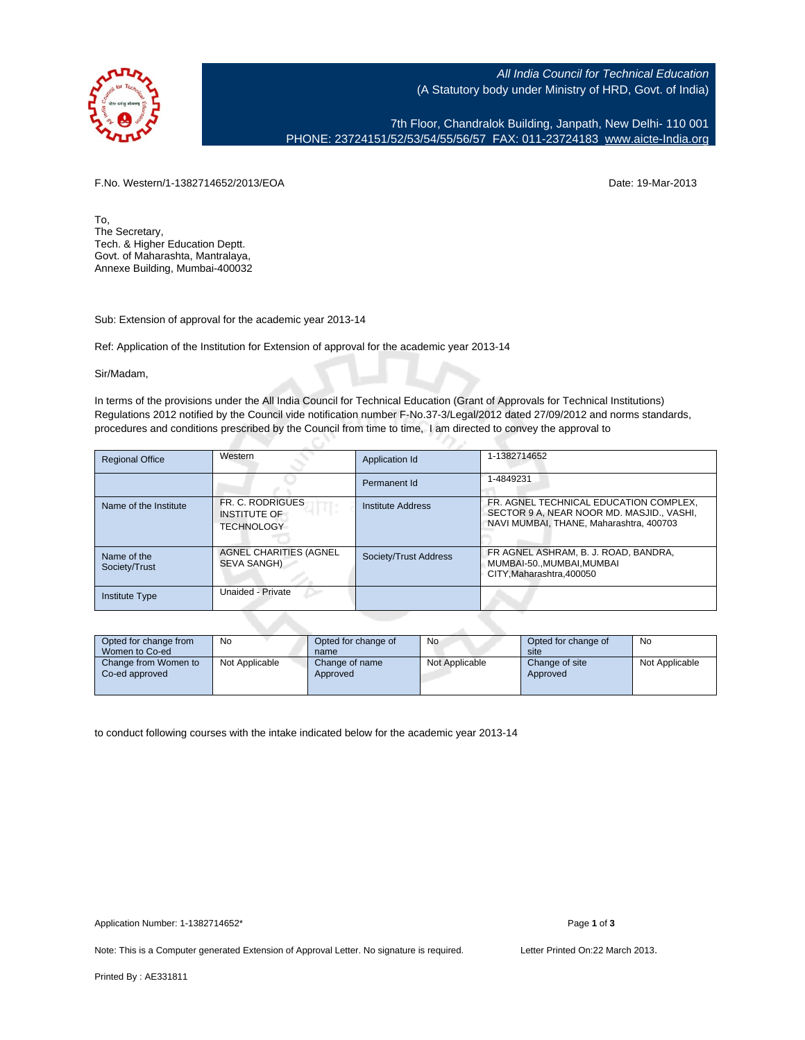

All India Council for Technical Education (A Statutory body under Ministry of HRD, Govt. of India)

7th Floor, Chandralok Building, Janpath, New Delhi- 110 001 PHONE: 23724151/52/53/54/55/56/57 FAX: 011-23724183 [www.aicte-India.org](http://www.aicte-India.org)

F.No. Western/1-1382714652/2013/EOA Date: 19-Mar-2013

To, The Secretary, Tech. & Higher Education Deptt. Govt. of Maharashta, Mantralaya, Annexe Building, Mumbai-400032

Sub: Extension of approval for the academic year 2013-14

Ref: Application of the Institution for Extension of approval for the academic year 2013-14

Sir/Madam,

In terms of the provisions under the All India Council for Technical Education (Grant of Approvals for Technical Institutions) Regulations 2012 notified by the Council vide notification number F-No.37-3/Legal/2012 dated 27/09/2012 and norms standards, procedures and conditions prescribed by the Council from time to time, I am directed to convey the approval to

| <b>Regional Office</b>       | Western                                                      | Application Id        | 1-1382714652                                                                                                                   |
|------------------------------|--------------------------------------------------------------|-----------------------|--------------------------------------------------------------------------------------------------------------------------------|
|                              |                                                              | Permanent Id          | 1-4849231                                                                                                                      |
| Name of the Institute        | FR. C. RODRIGUES<br><b>INSTITUTE OF</b><br><b>TECHNOLOGY</b> | Institute Address     | FR. AGNEL TECHNICAL EDUCATION COMPLEX.<br>SECTOR 9 A, NEAR NOOR MD. MASJID., VASHI,<br>NAVI MUMBAI, THANE, Maharashtra, 400703 |
| Name of the<br>Society/Trust | AGNEL CHARITIES (AGNEL<br>SEVA SANGH)                        | Society/Trust Address | FR AGNEL ASHRAM, B. J. ROAD, BANDRA,<br>MUMBAI-50MUMBAI.MUMBAI<br>CITY, Maharashtra, 400050                                    |
| <b>Institute Type</b>        | Unaided - Private                                            |                       |                                                                                                                                |

| Opted for change from<br>Women to Co-ed | No             | Opted for change of<br>name | No             | Opted for change of<br>site | No             |
|-----------------------------------------|----------------|-----------------------------|----------------|-----------------------------|----------------|
| Change from Women to<br>Co-ed approved  | Not Applicable | Change of name<br>Approved  | Not Applicable | Change of site<br>Approved  | Not Applicable |

to conduct following courses with the intake indicated below for the academic year 2013-14

Note: This is a Computer generated Extension of Approval Letter. No signature is required. Letter Printed On:22 March 2013.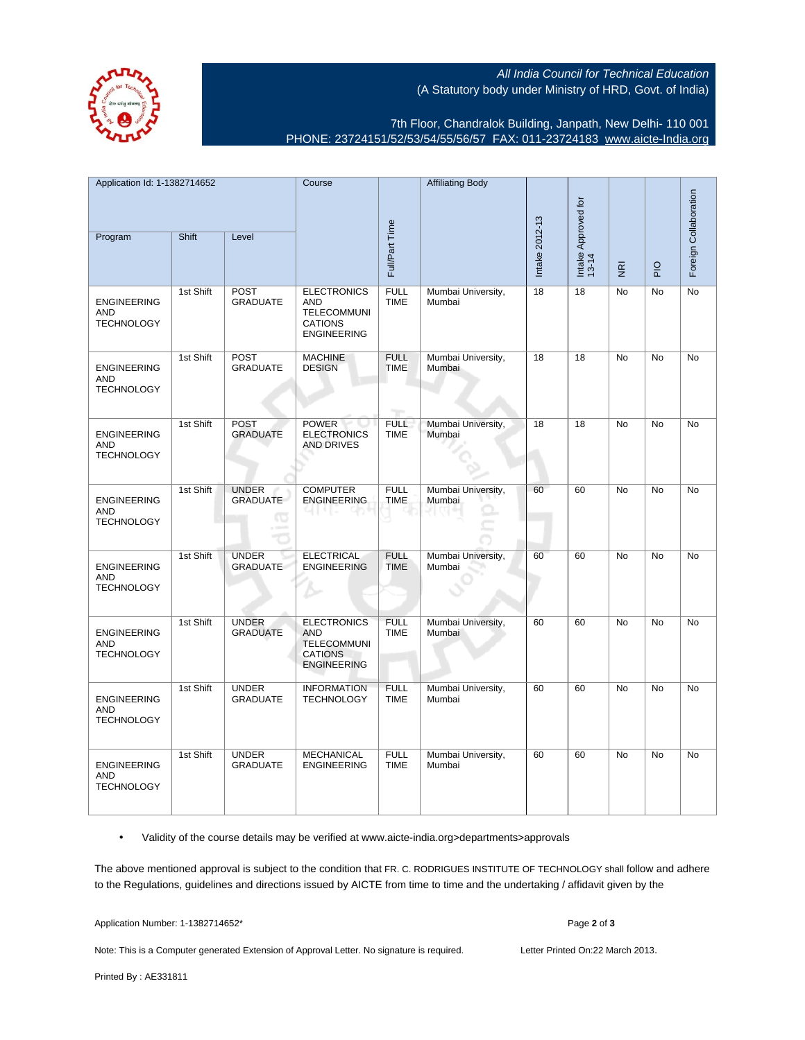All India Council for Technical Education (A Statutory body under Ministry of HRD, Govt. of India)



7th Floor, Chandralok Building, Janpath, New Delhi- 110 001 PHONE: 23724151/52/53/54/55/56/57 FAX: 011-23724183 [www.aicte-India.org](http://www.aicte-India.org)

| Application Id: 1-1382714652                          |           | Course                               |                                                                                                | <b>Affiliating Body</b>    |                              |                |                              |                         |             |                       |
|-------------------------------------------------------|-----------|--------------------------------------|------------------------------------------------------------------------------------------------|----------------------------|------------------------------|----------------|------------------------------|-------------------------|-------------|-----------------------|
|                                                       |           |                                      |                                                                                                |                            |                              |                |                              |                         |             |                       |
| Program                                               | Shift     | Level                                | Full/Part Time                                                                                 |                            |                              | Intake 2012-13 | Intake Approved for<br>13-14 | $\overline{\mathbf{g}}$ | $rac{O}{n}$ | Foreign Collaboration |
| <b>ENGINEERING</b><br><b>AND</b><br><b>TECHNOLOGY</b> | 1st Shift | <b>POST</b><br><b>GRADUATE</b>       | <b>ELECTRONICS</b><br>AND<br><b>TELECOMMUNI</b><br><b>CATIONS</b><br><b>ENGINEERING</b>        | <b>FULL</b><br><b>TIME</b> | Mumbai University,<br>Mumbai | 18             | 18                           | <b>No</b>               | <b>No</b>   | No                    |
| <b>ENGINEERING</b><br><b>AND</b><br><b>TECHNOLOGY</b> | 1st Shift | POST<br><b>GRADUATE</b>              | <b>MACHINE</b><br><b>DESIGN</b>                                                                | <b>FULL</b><br><b>TIME</b> | Mumbai University,<br>Mumbai | 18             | 18                           | <b>No</b>               | <b>No</b>   | <b>No</b>             |
| <b>ENGINEERING</b><br><b>AND</b><br><b>TECHNOLOGY</b> | 1st Shift | <b>POST</b><br><b>GRADUATE</b>       | <b>POWER</b><br><b>ELECTRONICS</b><br><b>AND DRIVES</b>                                        | <b>FULL</b><br><b>TIME</b> | Mumbai University,<br>Mumbai | 18             | $\overline{18}$              | <b>No</b>               | <b>No</b>   | <b>No</b>             |
| <b>ENGINEERING</b><br><b>AND</b><br><b>TECHNOLOGY</b> | 1st Shift | <b>UNDER</b><br><b>GRADUATE</b><br>œ | <b>COMPUTER</b><br><b>ENGINEERING</b>                                                          | <b>FULL</b><br><b>TIME</b> | Mumbai University,<br>Mumbai | 60             | 60                           | No                      | No          | No                    |
| <b>ENGINEERING</b><br><b>AND</b><br><b>TECHNOLOGY</b> | 1st Shift | <b>UNDER</b><br><b>GRADUATE</b>      | <b>ELECTRICAL</b><br><b>ENGINEERING</b>                                                        | <b>FULL</b><br><b>TIME</b> | Mumbai University,<br>Mumbai | 60             | 60                           | <b>No</b>               | <b>No</b>   | <b>No</b>             |
| <b>ENGINEERING</b><br><b>AND</b><br><b>TECHNOLOGY</b> | 1st Shift | <b>UNDER</b><br><b>GRADUATE</b>      | <b>ELECTRONICS</b><br><b>AND</b><br><b>TELECOMMUNI</b><br><b>CATIONS</b><br><b>ENGINEERING</b> | <b>FULL</b><br><b>TIME</b> | Mumbai University,<br>Mumbai | 60             | 60                           | No                      | <b>No</b>   | No                    |
| <b>ENGINEERING</b><br><b>AND</b><br><b>TECHNOLOGY</b> | 1st Shift | <b>UNDER</b><br><b>GRADUATE</b>      | <b>INFORMATION</b><br><b>TECHNOLOGY</b>                                                        | <b>FULL</b><br><b>TIME</b> | Mumbai University,<br>Mumbai | 60             | 60                           | No                      | No          | No                    |
| <b>ENGINEERING</b><br><b>AND</b><br><b>TECHNOLOGY</b> | 1st Shift | <b>UNDER</b><br><b>GRADUATE</b>      | <b>MECHANICAL</b><br><b>ENGINEERING</b>                                                        | <b>FULL</b><br><b>TIME</b> | Mumbai University,<br>Mumbai | 60             | 60                           | No                      | No          | No                    |

• Validity of the course details may be verified at www.aicte-india.org>departments>approvals

The above mentioned approval is subject to the condition that FR. C. RODRIGUES INSTITUTE OF TECHNOLOGY shall follow and adhere to the Regulations, guidelines and directions issued by AICTE from time to time and the undertaking / affidavit given by the

Application Number: 1-1382714652\* Page **2** of **3**

Note: This is a Computer generated Extension of Approval Letter. No signature is required. Letter Printed On:22 March 2013.